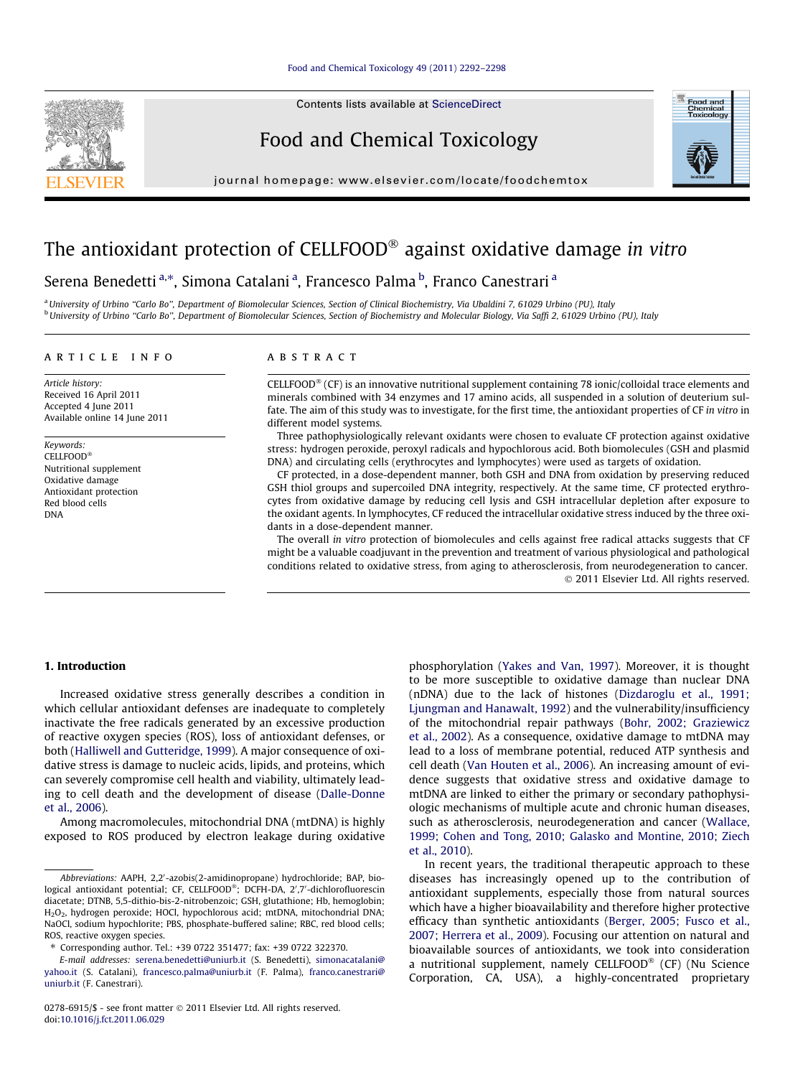Contents lists available at [ScienceDirect](http://www.sciencedirect.com/science/journal/02786915)

# Food and Chemical Toxicology



journal homepage: [www.elsevier.com/locate/foodchemtox](http://www.elsevier.com/locate/foodchemtox)

# The antioxidant protection of CELLFOOD® against oxidative damage in vitro

# Serena Benedetti<sup>a,</sup>\*, Simona Catalani<sup>a</sup>, Francesco Palma <sup>b</sup>, Franco Canestrari<sup>a</sup>

<sup>a</sup> University of Urbino "Carlo Bo", Department of Biomolecular Sciences, Section of Clinical Biochemistry, Via Ubaldini 7, 61029 Urbino (PU), Italy <sup>b</sup> University of Urbino "Carlo Bo", Department of Biomolecular Sciences, Section of Biochemistry and Molecular Biology, Via Saffi 2, 61029 Urbino (PU), Italy

# article info

Article history: Received 16 April 2011 Accepted 4 June 2011 Available online 14 June 2011

Keywords:  $\mathsf{CELLFOOD}^\circledast$ Nutritional supplement Oxidative damage Antioxidant protection Red blood cells DNA

# **ARSTRACT**

 $CELLFOOD<sup>®</sup>$  (CF) is an innovative nutritional supplement containing 78 ionic/colloidal trace elements and minerals combined with 34 enzymes and 17 amino acids, all suspended in a solution of deuterium sulfate. The aim of this study was to investigate, for the first time, the antioxidant properties of CF in vitro in different model systems.

Three pathophysiologically relevant oxidants were chosen to evaluate CF protection against oxidative stress: hydrogen peroxide, peroxyl radicals and hypochlorous acid. Both biomolecules (GSH and plasmid DNA) and circulating cells (erythrocytes and lymphocytes) were used as targets of oxidation.

CF protected, in a dose-dependent manner, both GSH and DNA from oxidation by preserving reduced GSH thiol groups and supercoiled DNA integrity, respectively. At the same time, CF protected erythrocytes from oxidative damage by reducing cell lysis and GSH intracellular depletion after exposure to the oxidant agents. In lymphocytes, CF reduced the intracellular oxidative stress induced by the three oxidants in a dose-dependent manner.

The overall in vitro protection of biomolecules and cells against free radical attacks suggests that CF might be a valuable coadjuvant in the prevention and treatment of various physiological and pathological conditions related to oxidative stress, from aging to atherosclerosis, from neurodegeneration to cancer. 2011 Elsevier Ltd. All rights reserved.

# 1. Introduction

Increased oxidative stress generally describes a condition in which cellular antioxidant defenses are inadequate to completely inactivate the free radicals generated by an excessive production of reactive oxygen species (ROS), loss of antioxidant defenses, or both [\(Halliwell and Gutteridge, 1999\)](#page-5-0). A major consequence of oxidative stress is damage to nucleic acids, lipids, and proteins, which can severely compromise cell health and viability, ultimately leading to cell death and the development of disease ([Dalle-Donne](#page-5-0) [et al., 2006\)](#page-5-0).

Among macromolecules, mitochondrial DNA (mtDNA) is highly exposed to ROS produced by electron leakage during oxidative phosphorylation [\(Yakes and Van, 1997\)](#page-6-0). Moreover, it is thought to be more susceptible to oxidative damage than nuclear DNA (nDNA) due to the lack of histones [\(Dizdaroglu et al., 1991;](#page-5-0) [Ljungman and Hanawalt, 1992\)](#page-5-0) and the vulnerability/insufficiency of the mitochondrial repair pathways [\(Bohr, 2002; Graziewicz](#page-5-0) [et al., 2002](#page-5-0)). As a consequence, oxidative damage to mtDNA may lead to a loss of membrane potential, reduced ATP synthesis and cell death ([Van Houten et al., 2006](#page-5-0)). An increasing amount of evidence suggests that oxidative stress and oxidative damage to mtDNA are linked to either the primary or secondary pathophysiologic mechanisms of multiple acute and chronic human diseases, such as atherosclerosis, neurodegeneration and cancer ([Wallace,](#page-6-0) [1999; Cohen and Tong, 2010; Galasko and Montine, 2010; Ziech](#page-6-0) [et al., 2010\)](#page-6-0).

In recent years, the traditional therapeutic approach to these diseases has increasingly opened up to the contribution of antioxidant supplements, especially those from natural sources which have a higher bioavailability and therefore higher protective efficacy than synthetic antioxidants ([Berger, 2005; Fusco et al.,](#page-5-0) [2007; Herrera et al., 2009](#page-5-0)). Focusing our attention on natural and bioavailable sources of antioxidants, we took into consideration a nutritional supplement, namely CELLFOOD® (CF) (Nu Science Corporation, CA, USA), a highly-concentrated proprietary

Abbreviations: AAPH, 2,2'-azobis(2-amidinopropane) hydrochloride; BAP, biological antioxidant potential; CF, CELLFOOD®; DCFH-DA, 2',7'-dichlorofluorescin diacetate; DTNB, 5,5-dithio-bis-2-nitrobenzoic; GSH, glutathione; Hb, hemoglobin; H2O2, hydrogen peroxide; HOCl, hypochlorous acid; mtDNA, mitochondrial DNA; NaOCl, sodium hypochlorite; PBS, phosphate-buffered saline; RBC, red blood cells; ROS, reactive oxygen species.

<sup>⇑</sup> Corresponding author. Tel.: +39 0722 351477; fax: +39 0722 322370.

E-mail addresses: [serena.benedetti@uniurb.it](mailto:serena.benedetti@uniurb.it) (S. Benedetti), [simonacatalani@](mailto:simonacatalani@ yahoo.it) [yahoo.it](mailto:simonacatalani@ yahoo.it) (S. Catalani), [francesco.palma@uniurb.it](mailto:francesco.palma@uniurb.it) (F. Palma), [franco.canestrari@](mailto:franco.canestrari@ uniurb.it) [uniurb.it](mailto:franco.canestrari@ uniurb.it) (F. Canestrari).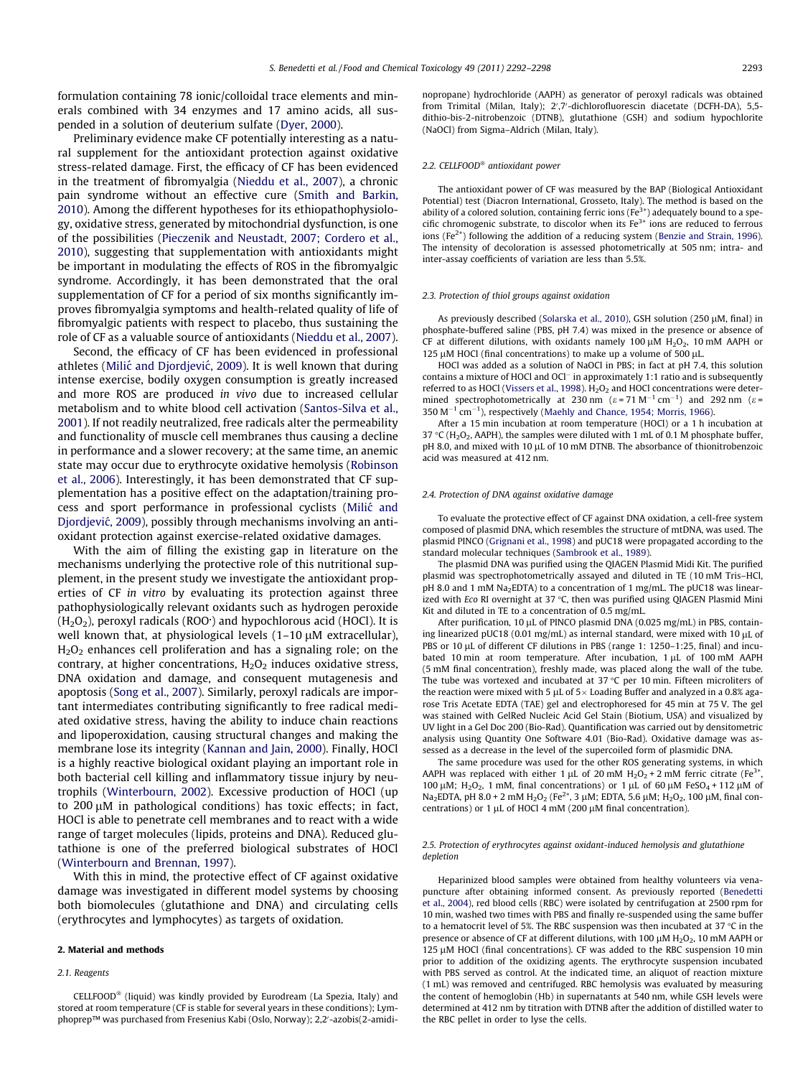formulation containing 78 ionic/colloidal trace elements and minerals combined with 34 enzymes and 17 amino acids, all suspended in a solution of deuterium sulfate ([Dyer, 2000](#page-5-0)).

Preliminary evidence make CF potentially interesting as a natural supplement for the antioxidant protection against oxidative stress-related damage. First, the efficacy of CF has been evidenced in the treatment of fibromyalgia [\(Nieddu et al., 2007\)](#page-5-0), a chronic pain syndrome without an effective cure [\(Smith and Barkin,](#page-5-0) [2010](#page-5-0)). Among the different hypotheses for its ethiopathophysiology, oxidative stress, generated by mitochondrial dysfunction, is one of the possibilities ([Pieczenik and Neustadt, 2007; Cordero et al.,](#page-5-0) [2010](#page-5-0)), suggesting that supplementation with antioxidants might be important in modulating the effects of ROS in the fibromyalgic syndrome. Accordingly, it has been demonstrated that the oral supplementation of CF for a period of six months significantly improves fibromyalgia symptoms and health-related quality of life of fibromyalgic patients with respect to placebo, thus sustaining the role of CF as a valuable source of antioxidants [\(Nieddu et al., 2007\)](#page-5-0).

Second, the efficacy of CF has been evidenced in professional athletes (Milić and Djordjević, 2009). It is well known that during intense exercise, bodily oxygen consumption is greatly increased and more ROS are produced in vivo due to increased cellular metabolism and to white blood cell activation [\(Santos-Silva et al.,](#page-5-0) [2001](#page-5-0)). If not readily neutralized, free radicals alter the permeability and functionality of muscle cell membranes thus causing a decline in performance and a slower recovery; at the same time, an anemic state may occur due to erythrocyte oxidative hemolysis ([Robinson](#page-5-0) [et al., 2006](#page-5-0)). Interestingly, it has been demonstrated that CF supplementation has a positive effect on the adaptation/training process and sport performance in professional cyclists ([Milic´](#page-5-0) and Djordjević, 2009), possibly through mechanisms involving an antioxidant protection against exercise-related oxidative damages.

With the aim of filling the existing gap in literature on the mechanisms underlying the protective role of this nutritional supplement, in the present study we investigate the antioxidant properties of CF in vitro by evaluating its protection against three pathophysiologically relevant oxidants such as hydrogen peroxide  $(H<sub>2</sub>O<sub>2</sub>)$ , peroxyl radicals (ROO $\cdot$ ) and hypochlorous acid (HOCl). It is well known that, at physiological levels  $(1-10 \mu M)$  extracellular),  $H<sub>2</sub>O<sub>2</sub>$  enhances cell proliferation and has a signaling role; on the contrary, at higher concentrations,  $H_2O_2$  induces oxidative stress, DNA oxidation and damage, and consequent mutagenesis and apoptosis ([Song et al., 2007\)](#page-5-0). Similarly, peroxyl radicals are important intermediates contributing significantly to free radical mediated oxidative stress, having the ability to induce chain reactions and lipoperoxidation, causing structural changes and making the membrane lose its integrity ([Kannan and Jain, 2000](#page-5-0)). Finally, HOCl is a highly reactive biological oxidant playing an important role in both bacterial cell killing and inflammatory tissue injury by neutrophils ([Winterbourn, 2002\)](#page-6-0). Excessive production of HOCl (up to  $200 \mu$ M in pathological conditions) has toxic effects; in fact, HOCl is able to penetrate cell membranes and to react with a wide range of target molecules (lipids, proteins and DNA). Reduced glutathione is one of the preferred biological substrates of HOCl ([Winterbourn and Brennan, 1997](#page-6-0)).

With this in mind, the protective effect of CF against oxidative damage was investigated in different model systems by choosing both biomolecules (glutathione and DNA) and circulating cells (erythrocytes and lymphocytes) as targets of oxidation.

#### 2. Material and methods

#### 2.1. Reagents

CELLFOOD<sup>®</sup> (liquid) was kindly provided by Eurodream (La Spezia, Italy) and stored at room temperature (CF is stable for several years in these conditions); Lymphoprep™ was purchased from Fresenius Kabi (Oslo, Norway); 2,2′-azobis(2-amidinopropane) hydrochloride (AAPH) as generator of peroxyl radicals was obtained from Trimital (Milan, Italy); 2',7'-dichlorofluorescin diacetate (DCFH-DA), 5,5dithio-bis-2-nitrobenzoic (DTNB), glutathione (GSH) and sodium hypochlorite (NaOCl) from Sigma–Aldrich (Milan, Italy).

#### 2.2. CELLFOOD<sup>®</sup> antioxidant power

The antioxidant power of CF was measured by the BAP (Biological Antioxidant Potential) test (Diacron International, Grosseto, Italy). The method is based on the ability of a colored solution, containing ferric ions ( $Fe<sup>3+</sup>$ ) adequately bound to a specific chromogenic substrate, to discolor when its  $Fe<sup>3+</sup>$  ions are reduced to ferrous ions (Fe $2^+$ ) following the addition of a reducing system ([Benzie and Strain, 1996\)](#page-5-0). The intensity of decoloration is assessed photometrically at 505 nm; intra- and inter-assay coefficients of variation are less than 5.5%.

#### 2.3. Protection of thiol groups against oxidation

As previously described [\(Solarska et al., 2010](#page-5-0)), GSH solution (250  $\mu$ M, final) in phosphate-buffered saline (PBS, pH 7.4) was mixed in the presence or absence of CF at different dilutions, with oxidants namely 100  $\mu$ M H<sub>2</sub>O<sub>2</sub>, 10 mM AAPH or 125  $\mu$ M HOCl (final concentrations) to make up a volume of 500  $\mu$ L.

HOCl was added as a solution of NaOCl in PBS; in fact at pH 7.4, this solution contains a mixture of HOCl and OCl<sup>-</sup> in approximately 1:1 ratio and is subsequently referred to as HOCl ([Vissers et al., 1998](#page-6-0)).  $H_2O_2$  and HOCl concentrations were determined spectrophotometrically at 230 nm ( $\varepsilon$  = 71 M<sup>-1</sup> cm<sup>-1</sup>) and 292 nm ( $\varepsilon$  =  $350 \, \text{M}^{-1} \, \text{cm}^{-1}$ ), respectively [\(Maehly and Chance, 1954; Morris, 1966](#page-5-0)).

After a 15 min incubation at room temperature (HOCl) or a 1 h incubation at 37 °C (H<sub>2</sub>O<sub>2</sub>, AAPH), the samples were diluted with 1 mL of 0.1 M phosphate buffer,  $pH$  8.0, and mixed with 10  $\mu$ L of 10 mM DTNB. The absorbance of thionitrobenzoic acid was measured at 412 nm.

#### 2.4. Protection of DNA against oxidative damage

To evaluate the protective effect of CF against DNA oxidation, a cell-free system composed of plasmid DNA, which resembles the structure of mtDNA, was used. The plasmid PINCO ([Grignani et al., 1998\)](#page-5-0) and pUC18 were propagated according to the standard molecular techniques [\(Sambrook et al., 1989\)](#page-5-0).

The plasmid DNA was purified using the QIAGEN Plasmid Midi Kit. The purified plasmid was spectrophotometrically assayed and diluted in TE (10 mM Tris–HCl, pH 8.0 and 1 mM Na<sub>2</sub>EDTA) to a concentration of 1 mg/mL. The pUC18 was linearized with Eco RI overnight at 37  $\degree$ C, then was purified using QIAGEN Plasmid Mini Kit and diluted in TE to a concentration of 0.5 mg/mL.

After purification, 10  $\mu$ L of PINCO plasmid DNA (0.025 mg/mL) in PBS, containing linearized pUC18 (0.01 mg/mL) as internal standard, were mixed with 10  $\mu$ L of PBS or 10 µL of different CF dilutions in PBS (range 1: 1250–1:25, final) and incubated 10 min at room temperature. After incubation,  $1 \mu L$  of 100 mM AAPH (5 mM final concentration), freshly made, was placed along the wall of the tube. The tube was vortexed and incubated at 37  $\degree$ C per 10 min. Fifteen microliters of the reaction were mixed with 5  $\mu$ L of 5  $\times$  Loading Buffer and analyzed in a 0.8% agarose Tris Acetate EDTA (TAE) gel and electrophoresed for 45 min at 75 V. The gel was stained with GelRed Nucleic Acid Gel Stain (Biotium, USA) and visualized by UV light in a Gel Doc 200 (Bio-Rad). Quantification was carried out by densitometric analysis using Quantity One Software 4.01 (Bio-Rad). Oxidative damage was assessed as a decrease in the level of the supercoiled form of plasmidic DNA.

The same procedure was used for the other ROS generating systems, in which AAPH was replaced with either 1  $\mu$ L of 20 mM H<sub>2</sub>O<sub>2</sub> + 2 mM ferric citrate (Fe<sup>3+</sup>) 100 μM; H<sub>2</sub>O<sub>2</sub>, 1 mM, final concentrations) or 1 μL of 60 μM FeSO<sub>4</sub> + 112 μM of Na<sub>2</sub>EDTA, pH 8.0 + 2 mM  $H_2O_2$  (Fe<sup>2+</sup>, 3 µM; EDTA, 5.6 µM;  $H_2O_2$ , 100 µM, final concentrations) or 1  $\mu$ L of HOCl 4 mM (200  $\mu$ M final concentration).

#### 2.5. Protection of erythrocytes against oxidant-induced hemolysis and glutathione depletion

Heparinized blood samples were obtained from healthy volunteers via venapuncture after obtaining informed consent. As previously reported ([Benedetti](#page-5-0) [et al., 2004](#page-5-0)), red blood cells (RBC) were isolated by centrifugation at 2500 rpm for 10 min, washed two times with PBS and finally re-suspended using the same buffer to a hematocrit level of 5%. The RBC suspension was then incubated at 37  $\degree$ C in the presence or absence of CF at different dilutions, with 100  $\mu$ M H<sub>2</sub>O<sub>2</sub>, 10 mM AAPH or  $125 \mu$ M HOCl (final concentrations). CF was added to the RBC suspension 10 min prior to addition of the oxidizing agents. The erythrocyte suspension incubated with PBS served as control. At the indicated time, an aliquot of reaction mixture (1 mL) was removed and centrifuged. RBC hemolysis was evaluated by measuring the content of hemoglobin (Hb) in supernatants at 540 nm, while GSH levels were determined at 412 nm by titration with DTNB after the addition of distilled water to the RBC pellet in order to lyse the cells.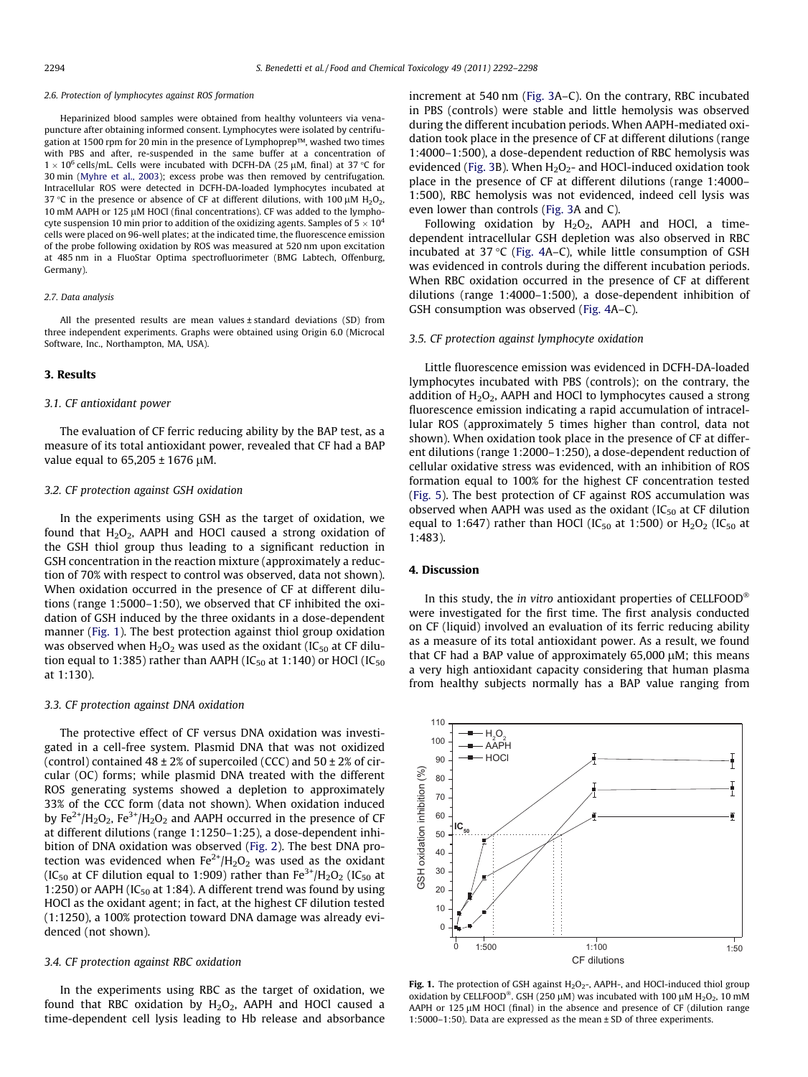#### 2.6. Protection of lymphocytes against ROS formation

Heparinized blood samples were obtained from healthy volunteers via venapuncture after obtaining informed consent. Lymphocytes were isolated by centrifugation at 1500 rpm for 20 min in the presence of Lymphoprep™, washed two times with PBS and after, re-suspended in the same buffer at a concentration of  $1 \times 10^6$  cells/mL. Cells were incubated with DCFH-DA (25 µM, final) at 37 °C for 30 min [\(Myhre et al., 2003](#page-5-0)); excess probe was then removed by centrifugation. Intracellular ROS were detected in DCFH-DA-loaded lymphocytes incubated at 37 °C in the presence or absence of CF at different dilutions, with 100  $\mu$ M H<sub>2</sub>O<sub>2</sub>,  $10 \text{ mM }$  AAPH or  $125 \mu$ M HOCl (final concentrations). CF was added to the lymphocyte suspension 10 min prior to addition of the oxidizing agents. Samples of  $5 \times 10^4$ cells were placed on 96-well plates; at the indicated time, the fluorescence emission of the probe following oxidation by ROS was measured at 520 nm upon excitation at 485 nm in a FluoStar Optima spectrofluorimeter (BMG Labtech, Offenburg, Germany).

#### 2.7. Data analysis

All the presented results are mean values ± standard deviations (SD) from three independent experiments. Graphs were obtained using Origin 6.0 (Microcal Software, Inc., Northampton, MA, USA).

#### 3. Results

## 3.1. CF antioxidant power

The evaluation of CF ferric reducing ability by the BAP test, as a measure of its total antioxidant power, revealed that CF had a BAP value equal to  $65,205 \pm 1676$  µM.

#### 3.2. CF protection against GSH oxidation

In the experiments using GSH as the target of oxidation, we found that  $H_2O_2$ , AAPH and HOCl caused a strong oxidation of the GSH thiol group thus leading to a significant reduction in GSH concentration in the reaction mixture (approximately a reduction of 70% with respect to control was observed, data not shown). When oxidation occurred in the presence of CF at different dilutions (range 1:5000–1:50), we observed that CF inhibited the oxidation of GSH induced by the three oxidants in a dose-dependent manner (Fig. 1). The best protection against thiol group oxidation was observed when  $H_2O_2$  was used as the oxidant (IC<sub>50</sub> at CF dilution equal to 1:385) rather than AAPH (IC<sub>50</sub> at 1:140) or HOCl (IC<sub>50</sub> at 1:130).

### 3.3. CF protection against DNA oxidation

The protective effect of CF versus DNA oxidation was investigated in a cell-free system. Plasmid DNA that was not oxidized (control) contained 48  $\pm$  2% of supercoiled (CCC) and 50  $\pm$  2% of circular (OC) forms; while plasmid DNA treated with the different ROS generating systems showed a depletion to approximately 33% of the CCC form (data not shown). When oxidation induced by  $Fe^{2+}/H_2O_2$ ,  $Fe^{3+}/H_2O_2$  and AAPH occurred in the presence of CF at different dilutions (range 1:1250–1:25), a dose-dependent inhibition of DNA oxidation was observed [\(Fig. 2\)](#page-3-0). The best DNA protection was evidenced when  $Fe^{2+}/H_2O_2$  was used as the oxidant (IC<sub>50</sub> at CF dilution equal to 1:909) rather than  $Fe^{3+}/H_2O_2$  (IC<sub>50</sub> at 1:250) or AAPH (IC<sub>50</sub> at 1:84). A different trend was found by using HOCl as the oxidant agent; in fact, at the highest CF dilution tested (1:1250), a 100% protection toward DNA damage was already evidenced (not shown).

### 3.4. CF protection against RBC oxidation

In the experiments using RBC as the target of oxidation, we found that RBC oxidation by  $H_2O_2$ , AAPH and HOCl caused a time-dependent cell lysis leading to Hb release and absorbance

increment at 540 nm [\(Fig. 3A](#page-3-0)–C). On the contrary, RBC incubated in PBS (controls) were stable and little hemolysis was observed during the different incubation periods. When AAPH-mediated oxidation took place in the presence of CF at different dilutions (range 1:4000–1:500), a dose-dependent reduction of RBC hemolysis was evidenced [\(Fig. 3](#page-3-0)B). When  $H_2O_2$ - and HOCl-induced oxidation took place in the presence of CF at different dilutions (range 1:4000– 1:500), RBC hemolysis was not evidenced, indeed cell lysis was even lower than controls ([Fig. 3](#page-3-0)A and C).

Following oxidation by  $H_2O_2$ , AAPH and HOCl, a timedependent intracellular GSH depletion was also observed in RBC incubated at 37  $°C$  ([Fig. 4](#page-4-0)A–C), while little consumption of GSH was evidenced in controls during the different incubation periods. When RBC oxidation occurred in the presence of CF at different dilutions (range 1:4000–1:500), a dose-dependent inhibition of GSH consumption was observed [\(Fig. 4](#page-4-0)A–C).

# 3.5. CF protection against lymphocyte oxidation

Little fluorescence emission was evidenced in DCFH-DA-loaded lymphocytes incubated with PBS (controls); on the contrary, the addition of  $H_2O_2$ , AAPH and HOCl to lymphocytes caused a strong fluorescence emission indicating a rapid accumulation of intracellular ROS (approximately 5 times higher than control, data not shown). When oxidation took place in the presence of CF at different dilutions (range 1:2000–1:250), a dose-dependent reduction of cellular oxidative stress was evidenced, with an inhibition of ROS formation equal to 100% for the highest CF concentration tested ([Fig. 5\)](#page-4-0). The best protection of CF against ROS accumulation was observed when AAPH was used as the oxidant  $(IC_{50}$  at CF dilution equal to 1:647) rather than HOCl (IC<sub>50</sub> at 1:500) or  $H<sub>2</sub>O<sub>2</sub>$  (IC<sub>50</sub> at 1:483).

# 4. Discussion

In this study, the in vitro antioxidant properties of CELLFOOD $^{\circ}$ were investigated for the first time. The first analysis conducted on CF (liquid) involved an evaluation of its ferric reducing ability as a measure of its total antioxidant power. As a result, we found that CF had a BAP value of approximately  $65,000 \mu$ M; this means a very high antioxidant capacity considering that human plasma from healthy subjects normally has a BAP value ranging from



Fig. 1. The protection of GSH against  $H_2O_2$ -, AAPH-, and HOCl-induced thiol group oxidation by CELLFOOD®. GSH (250  $\mu$ M) was incubated with 100  $\mu$ M H<sub>2</sub>O<sub>2</sub>, 10 mM AAPH or 125  $\mu$ M HOCl (final) in the absence and presence of CF (dilution range 1:5000–1:50). Data are expressed as the mean ± SD of three experiments.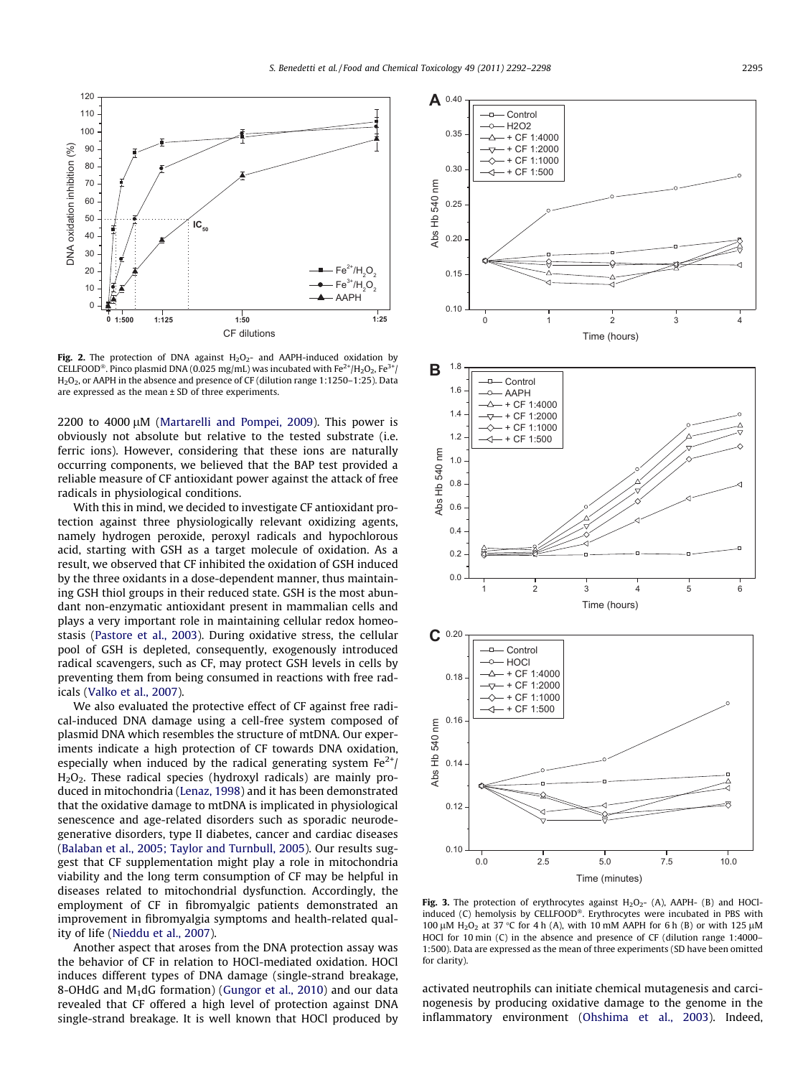<span id="page-3-0"></span>

Fig. 2. The protection of DNA against  $H_2O_2$ - and AAPH-induced oxidation by CELLFOOD®. Pinco plasmid DNA (0.025 mg/mL) was incubated with Fe $^{2+}$ /H<sub>2</sub>O<sub>2</sub>, Fe $^{3+}$ / H<sub>2</sub>O<sub>2</sub>, or AAPH in the absence and presence of CF (dilution range 1:1250-1:25). Data are expressed as the mean ± SD of three experiments.

 $2200$  to  $4000 \mu$ M [\(Martarelli and Pompei, 2009\)](#page-5-0). This power is obviously not absolute but relative to the tested substrate (i.e. ferric ions). However, considering that these ions are naturally occurring components, we believed that the BAP test provided a reliable measure of CF antioxidant power against the attack of free radicals in physiological conditions.

With this in mind, we decided to investigate CF antioxidant protection against three physiologically relevant oxidizing agents, namely hydrogen peroxide, peroxyl radicals and hypochlorous acid, starting with GSH as a target molecule of oxidation. As a result, we observed that CF inhibited the oxidation of GSH induced by the three oxidants in a dose-dependent manner, thus maintaining GSH thiol groups in their reduced state. GSH is the most abundant non-enzymatic antioxidant present in mammalian cells and plays a very important role in maintaining cellular redox homeostasis [\(Pastore et al., 2003\)](#page-5-0). During oxidative stress, the cellular pool of GSH is depleted, consequently, exogenously introduced radical scavengers, such as CF, may protect GSH levels in cells by preventing them from being consumed in reactions with free radicals ([Valko et al., 2007](#page-5-0)).

We also evaluated the protective effect of CF against free radical-induced DNA damage using a cell-free system composed of plasmid DNA which resembles the structure of mtDNA. Our experiments indicate a high protection of CF towards DNA oxidation, especially when induced by the radical generating system  $Fe^{2+}/$ H2O2. These radical species (hydroxyl radicals) are mainly produced in mitochondria ([Lenaz, 1998](#page-5-0)) and it has been demonstrated that the oxidative damage to mtDNA is implicated in physiological senescence and age-related disorders such as sporadic neurodegenerative disorders, type II diabetes, cancer and cardiac diseases ([Balaban et al., 2005; Taylor and Turnbull, 2005\)](#page-5-0). Our results suggest that CF supplementation might play a role in mitochondria viability and the long term consumption of CF may be helpful in diseases related to mitochondrial dysfunction. Accordingly, the employment of CF in fibromyalgic patients demonstrated an improvement in fibromyalgia symptoms and health-related quality of life ([Nieddu et al., 2007\)](#page-5-0).

Another aspect that aroses from the DNA protection assay was the behavior of CF in relation to HOCl-mediated oxidation. HOCl induces different types of DNA damage (single-strand breakage, 8-OHdG and  $M_1$ dG formation) ([Gungor et al., 2010](#page-5-0)) and our data revealed that CF offered a high level of protection against DNA single-strand breakage. It is well known that HOCl produced by



Fig. 3. The protection of erythrocytes against  $H_2O_2$ - (A), AAPH- (B) and HOClinduced (C) hemolysis by CELLFOOD®. Erythrocytes were incubated in PBS with 100  $\mu$ M H<sub>2</sub>O<sub>2</sub> at 37 °C for 4 h (A), with 10 mM AAPH for 6 h (B) or with 125  $\mu$ M HOCl for 10 min (C) in the absence and presence of CF (dilution range 1:4000– 1:500). Data are expressed as the mean of three experiments (SD have been omitted for clarity).

activated neutrophils can initiate chemical mutagenesis and carcinogenesis by producing oxidative damage to the genome in the inflammatory environment ([Ohshima et al., 2003\)](#page-5-0). Indeed,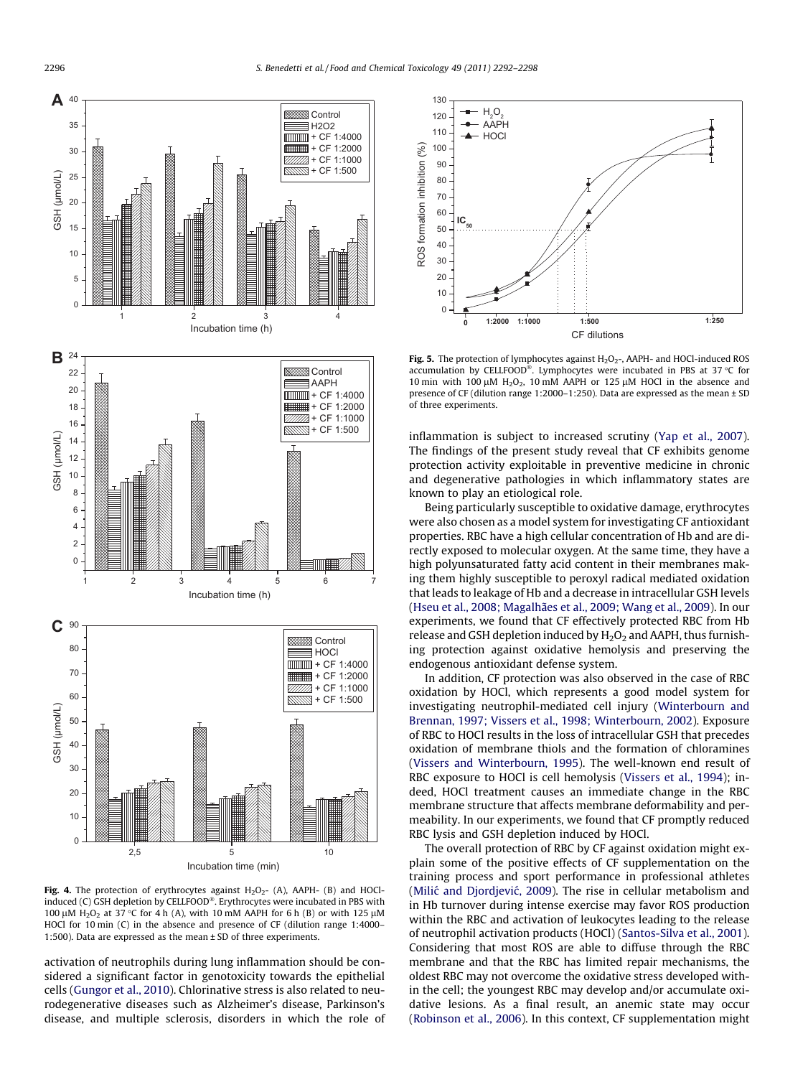<span id="page-4-0"></span>

Fig. 4. The protection of erythrocytes against  $H_2O_2$ - (A), AAPH- (B) and HOClinduced (C) GSH depletion by CELLFOOD®. Erythrocytes were incubated in PBS with 100  $\mu$ M H<sub>2</sub>O<sub>2</sub> at 37 °C for 4 h (A), with 10 mM AAPH for 6 h (B) or with 125  $\mu$ M HOCl for 10 min (C) in the absence and presence of CF (dilution range 1:4000– 1:500). Data are expressed as the mean ± SD of three experiments.

activation of neutrophils during lung inflammation should be considered a significant factor in genotoxicity towards the epithelial cells [\(Gungor et al., 2010\)](#page-5-0). Chlorinative stress is also related to neurodegenerative diseases such as Alzheimer's disease, Parkinson's disease, and multiple sclerosis, disorders in which the role of



Fig. 5. The protection of lymphocytes against  $H_2O_2$ -, AAPH- and HOCl-induced ROS accumulation by CELLFOOD®. Lymphocytes were incubated in PBS at 37 °C for 10 min with 100  $\mu$ M H<sub>2</sub>O<sub>2</sub>, 10 mM AAPH or 125  $\mu$ M HOCl in the absence and presence of CF (dilution range 1:2000–1:250). Data are expressed as the mean ± SD of three experiments.

inflammation is subject to increased scrutiny ([Yap et al., 2007\)](#page-6-0). The findings of the present study reveal that CF exhibits genome protection activity exploitable in preventive medicine in chronic and degenerative pathologies in which inflammatory states are known to play an etiological role.

Being particularly susceptible to oxidative damage, erythrocytes were also chosen as a model system for investigating CF antioxidant properties. RBC have a high cellular concentration of Hb and are directly exposed to molecular oxygen. At the same time, they have a high polyunsaturated fatty acid content in their membranes making them highly susceptible to peroxyl radical mediated oxidation that leads to leakage of Hb and a decrease in intracellular GSH levels ([Hseu et al., 2008; Magalhães et al., 2009; Wang et al., 2009\)](#page-5-0). In our experiments, we found that CF effectively protected RBC from Hb release and GSH depletion induced by  $H_2O_2$  and AAPH, thus furnishing protection against oxidative hemolysis and preserving the endogenous antioxidant defense system.

In addition, CF protection was also observed in the case of RBC oxidation by HOCl, which represents a good model system for investigating neutrophil-mediated cell injury [\(Winterbourn and](#page-6-0) [Brennan, 1997; Vissers et al., 1998; Winterbourn, 2002\)](#page-6-0). Exposure of RBC to HOCl results in the loss of intracellular GSH that precedes oxidation of membrane thiols and the formation of chloramines ([Vissers and Winterbourn, 1995\)](#page-6-0). The well-known end result of RBC exposure to HOCl is cell hemolysis [\(Vissers et al., 1994](#page-5-0)); indeed, HOCl treatment causes an immediate change in the RBC membrane structure that affects membrane deformability and permeability. In our experiments, we found that CF promptly reduced RBC lysis and GSH depletion induced by HOCl.

The overall protection of RBC by CF against oxidation might explain some of the positive effects of CF supplementation on the training process and sport performance in professional athletes (Milić and Djordjević, 2009). The rise in cellular metabolism and in Hb turnover during intense exercise may favor ROS production within the RBC and activation of leukocytes leading to the release of neutrophil activation products (HOCl) ([Santos-Silva et al., 2001\)](#page-5-0). Considering that most ROS are able to diffuse through the RBC membrane and that the RBC has limited repair mechanisms, the oldest RBC may not overcome the oxidative stress developed within the cell; the youngest RBC may develop and/or accumulate oxidative lesions. As a final result, an anemic state may occur ([Robinson et al., 2006](#page-5-0)). In this context, CF supplementation might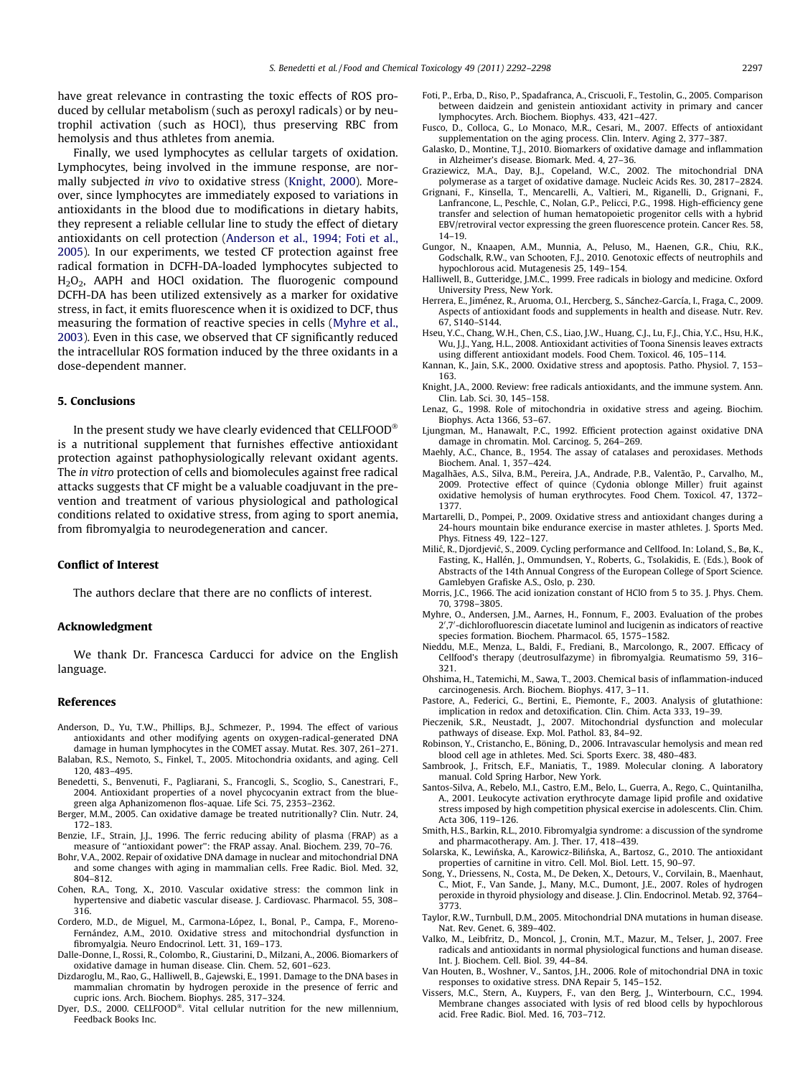<span id="page-5-0"></span>have great relevance in contrasting the toxic effects of ROS produced by cellular metabolism (such as peroxyl radicals) or by neutrophil activation (such as HOCl), thus preserving RBC from hemolysis and thus athletes from anemia.

Finally, we used lymphocytes as cellular targets of oxidation. Lymphocytes, being involved in the immune response, are normally subjected in vivo to oxidative stress (Knight, 2000). Moreover, since lymphocytes are immediately exposed to variations in antioxidants in the blood due to modifications in dietary habits, they represent a reliable cellular line to study the effect of dietary antioxidants on cell protection (Anderson et al., 1994; Foti et al., 2005). In our experiments, we tested CF protection against free radical formation in DCFH-DA-loaded lymphocytes subjected to H<sub>2</sub>O<sub>2</sub>, AAPH and HOCl oxidation. The fluorogenic compound DCFH-DA has been utilized extensively as a marker for oxidative stress, in fact, it emits fluorescence when it is oxidized to DCF, thus measuring the formation of reactive species in cells (Myhre et al., 2003). Even in this case, we observed that CF significantly reduced the intracellular ROS formation induced by the three oxidants in a dose-dependent manner.

# 5. Conclusions

In the present study we have clearly evidenced that CELLFOOD $^\circ$ is a nutritional supplement that furnishes effective antioxidant protection against pathophysiologically relevant oxidant agents. The in vitro protection of cells and biomolecules against free radical attacks suggests that CF might be a valuable coadjuvant in the prevention and treatment of various physiological and pathological conditions related to oxidative stress, from aging to sport anemia, from fibromyalgia to neurodegeneration and cancer.

# Conflict of Interest

The authors declare that there are no conflicts of interest.

#### Acknowledgment

We thank Dr. Francesca Carducci for advice on the English language.

# References

- Anderson, D., Yu, T.W., Phillips, B.J., Schmezer, P., 1994. The effect of various antioxidants and other modifying agents on oxygen-radical-generated DNA damage in human lymphocytes in the COMET assay. Mutat. Res. 307, 261–271.
- Balaban, R.S., Nemoto, S., Finkel, T., 2005. Mitochondria oxidants, and aging. Cell 120, 483–495.
- Benedetti, S., Benvenuti, F., Pagliarani, S., Francogli, S., Scoglio, S., Canestrari, F., 2004. Antioxidant properties of a novel phycocyanin extract from the bluegreen alga Aphanizomenon flos-aquae. Life Sci. 75, 2353–2362.
- Berger, M.M., 2005. Can oxidative damage be treated nutritionally? Clin. Nutr. 24, 172–183.
- Benzie, I.F., Strain, J.J., 1996. The ferric reducing ability of plasma (FRAP) as a measure of ''antioxidant power'': the FRAP assay. Anal. Biochem. 239, 70–76.
- Bohr, V.A., 2002. Repair of oxidative DNA damage in nuclear and mitochondrial DNA and some changes with aging in mammalian cells. Free Radic. Biol. Med. 32, 804–812.
- Cohen, R.A., Tong, X., 2010. Vascular oxidative stress: the common link in hypertensive and diabetic vascular disease. J. Cardiovasc. Pharmacol. 55, 308– 316.
- Cordero, M.D., de Miguel, M., Carmona-López, I., Bonal, P., Campa, F., Moreno-Fernández, A.M., 2010. Oxidative stress and mitochondrial dysfunction in fibromyalgia. Neuro Endocrinol. Lett. 31, 169–173.
- Dalle-Donne, I., Rossi, R., Colombo, R., Giustarini, D., Milzani, A., 2006. Biomarkers of oxidative damage in human disease. Clin. Chem. 52, 601–623.
- Dizdaroglu, M., Rao, G., Halliwell, B., Gajewski, E., 1991. Damage to the DNA bases in mammalian chromatin by hydrogen peroxide in the presence of ferric and cupric ions. Arch. Biochem. Biophys. 285, 317–324.
- Dyer, D.S., 2000. CELLFOOD®. Vital cellular nutrition for the new millennium, Feedback Books Inc.
- Foti, P., Erba, D., Riso, P., Spadafranca, A., Criscuoli, F., Testolin, G., 2005. Comparison between daidzein and genistein antioxidant activity in primary and cancer lymphocytes. Arch. Biochem. Biophys. 433, 421–427.
- Fusco, D., Colloca, G., Lo Monaco, M.R., Cesari, M., 2007. Effects of antioxidant supplementation on the aging process. Clin. Interv. Aging 2, 377–387.
- Galasko, D., Montine, T.J., 2010. Biomarkers of oxidative damage and inflammation in Alzheimer's disease. Biomark. Med. 4, 27–36.
- Graziewicz, M.A., Day, B.J., Copeland, W.C., 2002. The mitochondrial DNA polymerase as a target of oxidative damage. Nucleic Acids Res. 30, 2817–2824.
- Grignani, F., Kinsella, T., Mencarelli, A., Valtieri, M., Riganelli, D., Grignani, F., Lanfrancone, L., Peschle, C., Nolan, G.P., Pelicci, P.G., 1998. High-efficiency gene transfer and selection of human hematopoietic progenitor cells with a hybrid EBV/retroviral vector expressing the green fluorescence protein. Cancer Res. 58, 14–19.
- Gungor, N., Knaapen, A.M., Munnia, A., Peluso, M., Haenen, G.R., Chiu, R.K., Godschalk, R.W., van Schooten, F.J., 2010. Genotoxic effects of neutrophils and hypochlorous acid. Mutagenesis 25, 149–154.
- Halliwell, B., Gutteridge, J.M.C., 1999. Free radicals in biology and medicine. Oxford University Press, New York.
- Herrera, E., Jiménez, R., Aruoma, O.I., Hercberg, S., Sánchez-García, I., Fraga, C., 2009. Aspects of antioxidant foods and supplements in health and disease. Nutr. Rev. 67, S140–S144.
- Hseu, Y.C., Chang, W.H., Chen, C.S., Liao, J.W., Huang, C.J., Lu, F.J., Chia, Y.C., Hsu, H.K., Wu, J.J., Yang, H.L., 2008. Antioxidant activities of Toona Sinensis leaves extracts using different antioxidant models. Food Chem. Toxicol. 46, 105–114.
- Kannan, K., Jain, S.K., 2000. Oxidative stress and apoptosis. Patho. Physiol. 7, 153– 163.
- Knight, J.A., 2000. Review: free radicals antioxidants, and the immune system. Ann. Clin. Lab. Sci. 30, 145–158.
- Lenaz, G., 1998. Role of mitochondria in oxidative stress and ageing. Biochim. Biophys. Acta 1366, 53–67.
- Ljungman, M., Hanawalt, P.C., 1992. Efficient protection against oxidative DNA damage in chromatin. Mol. Carcinog. 5, 264–269.
- Maehly, A.C., Chance, B., 1954. The assay of catalases and peroxidases. Methods Biochem. Anal. 1, 357–424.
- Magalhães, A.S., Silva, B.M., Pereira, J.A., Andrade, P.B., Valentão, P., Carvalho, M., 2009. Protective effect of quince (Cydonia oblonge Miller) fruit against oxidative hemolysis of human erythrocytes. Food Chem. Toxicol. 47, 1372– 1377.
- Martarelli, D., Pompei, P., 2009. Oxidative stress and antioxidant changes during a 24-hours mountain bike endurance exercise in master athletes. J. Sports Med. Phys. Fitness 49, 122–127.
- Milić, R., Djordjević, S., 2009. Cycling performance and Cellfood. In: Loland, S., Bø, K., Fasting, K., Hallén, J., Ommundsen, Y., Roberts, G., Tsolakidis, E. (Eds.), Book of Abstracts of the 14th Annual Congress of the European College of Sport Science. Gamlebyen Grafiske A.S., Oslo, p. 230.
- Morris, J.C., 1966. The acid ionization constant of HClO from 5 to 35. J. Phys. Chem. 70, 3798–3805.
- Myhre, O., Andersen, J.M., Aarnes, H., Fonnum, F., 2003. Evaluation of the probes 2',7'-dichlorofluorescin diacetate luminol and lucigenin as indicators of reactive species formation. Biochem. Pharmacol. 65, 1575–1582.
- Nieddu, M.E., Menza, L., Baldi, F., Frediani, B., Marcolongo, R., 2007. Efficacy of Cellfood's therapy (deutrosulfazyme) in fibromyalgia. Reumatismo 59, 316– 321.
- Ohshima, H., Tatemichi, M., Sawa, T., 2003. Chemical basis of inflammation-induced carcinogenesis. Arch. Biochem. Biophys. 417, 3–11.
- Pastore, A., Federici, G., Bertini, E., Piemonte, F., 2003. Analysis of glutathione: implication in redox and detoxification. Clin. Chim. Acta 333, 19–39.
- Pieczenik, S.R., Neustadt, J., 2007. Mitochondrial dysfunction and molecular pathways of disease. Exp. Mol. Pathol. 83, 84–92.
- Robinson, Y., Cristancho, E., Böning, D., 2006. Intravascular hemolysis and mean red blood cell age in athletes. Med. Sci. Sports Exerc. 38, 480–483.
- Sambrook, J., Fritsch, E.F., Maniatis, T., 1989. Molecular cloning. A laboratory manual. Cold Spring Harbor, New York.
- Santos-Silva, A., Rebelo, M.I., Castro, E.M., Belo, L., Guerra, A., Rego, C., Quintanilha, A., 2001. Leukocyte activation erythrocyte damage lipid profile and oxidative stress imposed by high competition physical exercise in adolescents. Clin. Chim. Acta 306, 119–126.
- Smith, H.S., Barkin, R.L., 2010. Fibromyalgia syndrome: a discussion of the syndrome and pharmacotherapy. Am. J. Ther. 17, 418–439.
- Solarska, K., Lewińska, A., Karowicz-Bilińska, A., Bartosz, G., 2010. The antioxidant properties of carnitine in vitro. Cell. Mol. Biol. Lett. 15, 90–97.
- Song, Y., Driessens, N., Costa, M., De Deken, X., Detours, V., Corvilain, B., Maenhaut, C., Miot, F., Van Sande, J., Many, M.C., Dumont, J.E., 2007. Roles of hydrogen peroxide in thyroid physiology and disease. J. Clin. Endocrinol. Metab. 92, 3764– 3773.
- Taylor, R.W., Turnbull, D.M., 2005. Mitochondrial DNA mutations in human disease. Nat. Rev. Genet. 6, 389–402.
- Valko, M., Leibfritz, D., Moncol, J., Cronin, M.T., Mazur, M., Telser, J., 2007. Free radicals and antioxidants in normal physiological functions and human disease. Int. J. Biochem. Cell. Biol. 39, 44–84.
- Van Houten, B., Woshner, V., Santos, J.H., 2006. Role of mitochondrial DNA in toxic responses to oxidative stress. DNA Repair 5, 145–152.
- Vissers, M.C., Stern, A., Kuypers, F., van den Berg, J., Winterbourn, C.C., 1994. Membrane changes associated with lysis of red blood cells by hypochlorous acid. Free Radic. Biol. Med. 16, 703–712.